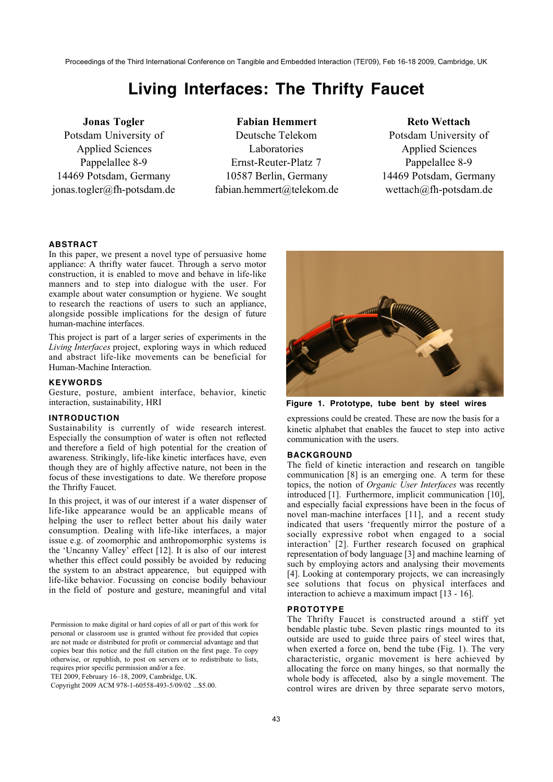# **Living Interfaces: The Thrifty Faucet**

# **Jonas Togler** Potsdam University of Applied Sciences

Pappelallee 8-9 14469 Potsdam, Germany jonas.togler@fh-potsdam.de

**Fabian Hemmert** Deutsche Telekom Laboratories Ernst-Reuter-Platz 7 10587 Berlin, Germany fabian.hemmert@telekom.de

**Reto Wettach** Potsdam University of Applied Sciences Pappelallee 8-9 14469 Potsdam, Germany wettach@fh-potsdam.de

# **ABSTRACT**

In this paper, we present a novel type of persuasive home appliance: A thrifty water faucet. Through a servo motor construction, it is enabled to move and behave in life-like manners and to step into dialogue with the user. For example about water consumption or hygiene. We sought to research the reactions of users to such an appliance, alongside possible implications for the design of future human-machine interfaces.

This project is part of a larger series of experiments in the *Living Interfaces* project, exploring ways in which reduced and abstract life-like movements can be beneficial for Human-Machine Interaction.

# **KEYWORDS**

Gesture, posture, ambient interface, behavior, kinetic interaction, sustainability, HRI

# **INTRODUCTION**

Sustainability is currently of wide research interest. Especially the consumption of water is often not reflected and therefore a field of high potential for the creation of awareness. Strikingly, life-like kinetic interfaces have, even though they are of highly affective nature, not been in the focus of these investigations to date. We therefore propose the Thrifty Faucet.

In this project, it was of our interest if a water dispenser of life-like appearance would be an applicable means of helping the user to reflect better about his daily water consumption. Dealing with life-like interfaces, a major issue e.g. of zoomorphic and anthropomorphic systems is the 'Uncanny Valley' effect [12]. It is also of our interest whether this effect could possibly be avoided by reducing the system to an abstract appearence, but equipped with life-like behavior. Focussing on concise bodily behaviour in the field of posture and gesture, meaningful and vital

Permission to make digital or hard copies of all or part of this work for personal or classroom use is granted without fee provided that copies are not made or distributed for profit or commercial advantage and that copies bear this notice and the full citation on the first page. To copy otherwise, or republish, to post on servers or to redistribute to lists, requires prior specific permission and/or a fee.

TEI 2009, February 16–18, 2009, Cambridge, UK.

Copyright 2009 ACM 978-1-60558-493-5/09/02 ...\$5.00.



**Figure 1. Prototype, tube bent by steel wires**

expressions could be created. These are now the basis for a kinetic alphabet that enables the faucet to step into active communication with the users.

# **BACKGROUND**

The field of kinetic interaction and research on tangible communication [8] is an emerging one. A term for these topics, the notion of *Organic User Interfaces* was recently introduced [1]. Furthermore, implicit communication [10], and especially facial expressions have been in the focus of novel man-machine interfaces [11], and a recent study indicated that users 'frequently mirror the posture of a socially expressive robot when engaged to a social interaction' [2]. Further research focused on graphical representation of body language [3] and machine learning of such by employing actors and analysing their movements [4]. Looking at contemporary projects, we can increasingly see solutions that focus on physical interfaces and interaction to achieve a maximum impact [13 - 16].

### **PROTOTYPE**

The Thrifty Faucet is constructed around a stiff yet bendable plastic tube. Seven plastic rings mounted to its outside are used to guide three pairs of steel wires that, when exerted a force on, bend the tube (Fig. 1). The very characteristic, organic movement is here achieved by allocating the force on many hinges, so that normally the whole body is affeceted, also by a single movement. The control wires are driven by three separate servo motors,